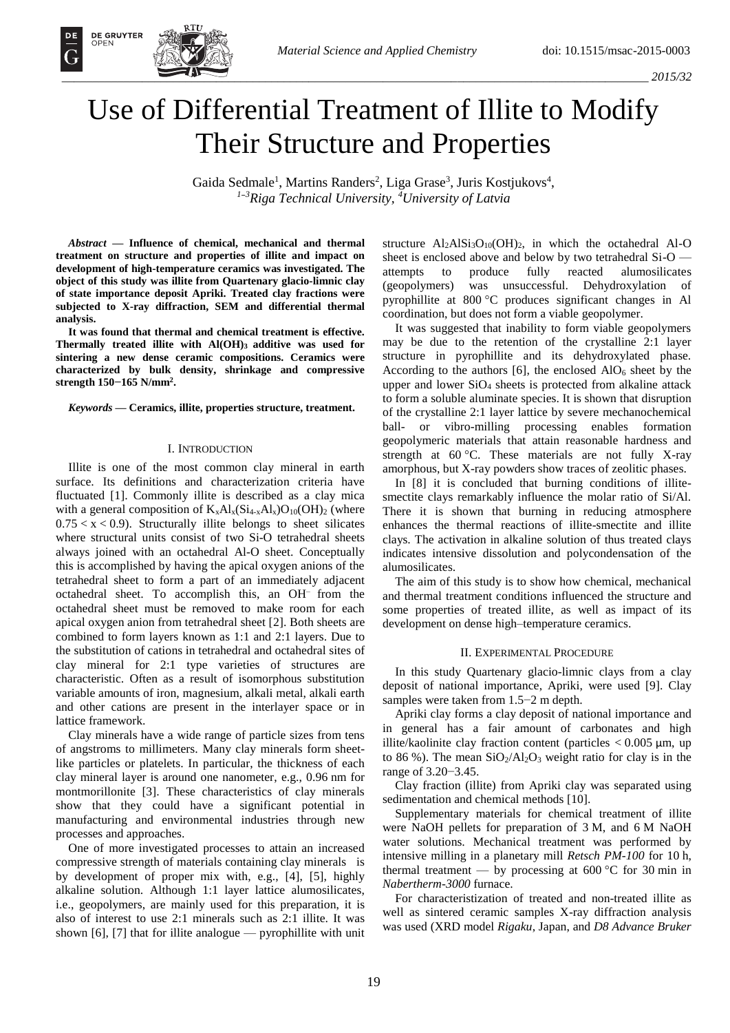# Use of Differential Treatment of Illite to Modify Their Structure and Properties

Gaida Sedmale<sup>1</sup>, Martins Randers<sup>2</sup>, Liga Grase<sup>3</sup>, Juris Kostjukovs<sup>4</sup>, *<sup>1</sup>*−*<sup>3</sup>Riga Technical University, <sup>4</sup>University of Latvia*

*Abstract —* **Influence of chemical, mechanical and thermal treatment on structure and properties of illite and impact on development of high-temperature ceramics was investigated. The object of this study was illite from Quartenary glacio-limnic clay of state importance deposit Apriki. Treated clay fractions were subjected to X-ray diffraction, SEM and differential thermal analysis.** 

**It was found that thermal and chemical treatment is effective. Thermally treated illite with Al(OH)3 additive was used for sintering a new dense ceramic compositions. Ceramics were characterized by bulk density, shrinkage and compressive strength 150***−***165 N/mm<sup>2</sup> .**

*Keywords* **— Ceramics, illite, properties structure, treatment.** 

### I. INTRODUCTION

Illite is one of the most common clay mineral in earth surface. Its definitions and characterization criteria have fluctuated [1]. Commonly illite is described as a clay mica with a general composition of  $K_{x}Al_{x}(Si_{4-x}Al_{x})O_{10}(OH)_{2}$  (where  $0.75 < x < 0.9$ ). Structurally illite belongs to sheet silicates where structural units consist of two Si-O tetrahedral sheets always joined with an octahedral Al-O sheet. Conceptually this is accomplished by having the apical oxygen anions of the tetrahedral sheet to form a part of an immediately adjacent octahedral sheet. To accomplish this, an OH– from the octahedral sheet must be removed to make room for each apical oxygen anion from tetrahedral sheet [2]. Both sheets are combined to form layers known as 1:1 and 2:1 layers. Due to the substitution of cations in tetrahedral and octahedral sites of clay mineral for 2:1 type varieties of structures are characteristic. Often as a result of isomorphous substitution variable amounts of iron, magnesium, alkali metal, alkali earth and other cations are present in the interlayer space or in lattice framework.

Clay minerals have a wide range of particle sizes from tens of angstroms to millimeters. Many clay minerals form sheetlike particles or platelets. In particular, the thickness of each clay mineral layer is around one nanometer, e.g., 0.96 nm for montmorillonite [3]. These characteristics of clay minerals show that they could have a significant potential in manufacturing and environmental industries through new processes and approaches.

One of more investigated processes to attain an increased compressive strength of materials containing clay minerals is by development of proper mix with, e.g., [4], [5], highly alkaline solution. Although 1:1 layer lattice alumosilicates, i.e., geopolymers, are mainly used for this preparation, it is also of interest to use 2:1 minerals such as 2:1 illite. It was shown [6], [7] that for illite analogue — pyrophillite with unit structure  $Al_2AlSi_3O_{10}(OH)_2$ , in which the octahedral Al-O sheet is enclosed above and below by two tetrahedral Si-O attempts to produce fully reacted alumosilicates (geopolymers) was unsuccessful. Dehydroxylation of pyrophillite at 800 °C produces significant changes in Al coordination, but does not form a viable geopolymer.

It was suggested that inability to form viable geopolymers may be due to the retention of the crystalline 2:1 layer structure in pyrophillite and its dehydroxylated phase. According to the authors  $[6]$ , the enclosed  $AlO<sub>6</sub>$  sheet by the upper and lower SiO4 sheets is protected from alkaline attack to form a soluble aluminate species. It is shown that disruption of the crystalline 2:1 layer lattice by severe mechanochemical ball- or vibro-milling processing enables formation geopolymeric materials that attain reasonable hardness and strength at 60 °C. These materials are not fully X-ray amorphous, but X-ray powders show traces of zeolitic phases.

In [8] it is concluded that burning conditions of illitesmectite clays remarkably influence the molar ratio of Si/Al. There it is shown that burning in reducing atmosphere enhances the thermal reactions of illite-smectite and illite clays. The activation in alkaline solution of thus treated clays indicates intensive dissolution and polycondensation of the alumosilicates.

The aim of this study is to show how chemical, mechanical and thermal treatment conditions influenced the structure and some properties of treated illite, as well as impact of its development on dense high–temperature ceramics.

#### II. EXPERIMENTAL PROCEDURE

In this study Quartenary glacio-limnic clays from a clay deposit of national importance, Apriki, were used [9]. Clay samples were taken from 1.5−2 m depth.

Apriki clay forms a clay deposit of national importance and in general has a fair amount of carbonates and high illite/kaolinite clay fraction content (particles  $< 0.005 \mu m$ , up to 86 %). The mean  $SiO<sub>2</sub>/Al<sub>2</sub>O<sub>3</sub>$  weight ratio for clay is in the range of 3.20−3.45.

Clay fraction (illite) from Apriki clay was separated using sedimentation and chemical methods [10].

Supplementary materials for chemical treatment of illite were NaOH pellets for preparation of 3 M, and 6 M NaOH water solutions. Mechanical treatment was performed by intensive milling in a planetary mill *Retsch PM-100* for 10 h, thermal treatment — by processing at  $600\degree C$  for 30 min in *Nabertherm-3000* furnace.

For characteristization of treated and non-treated illite as well as sintered ceramic samples X-ray diffraction analysis was used (XRD model *Rigaku*, Japan, and *D8 Advance Bruker*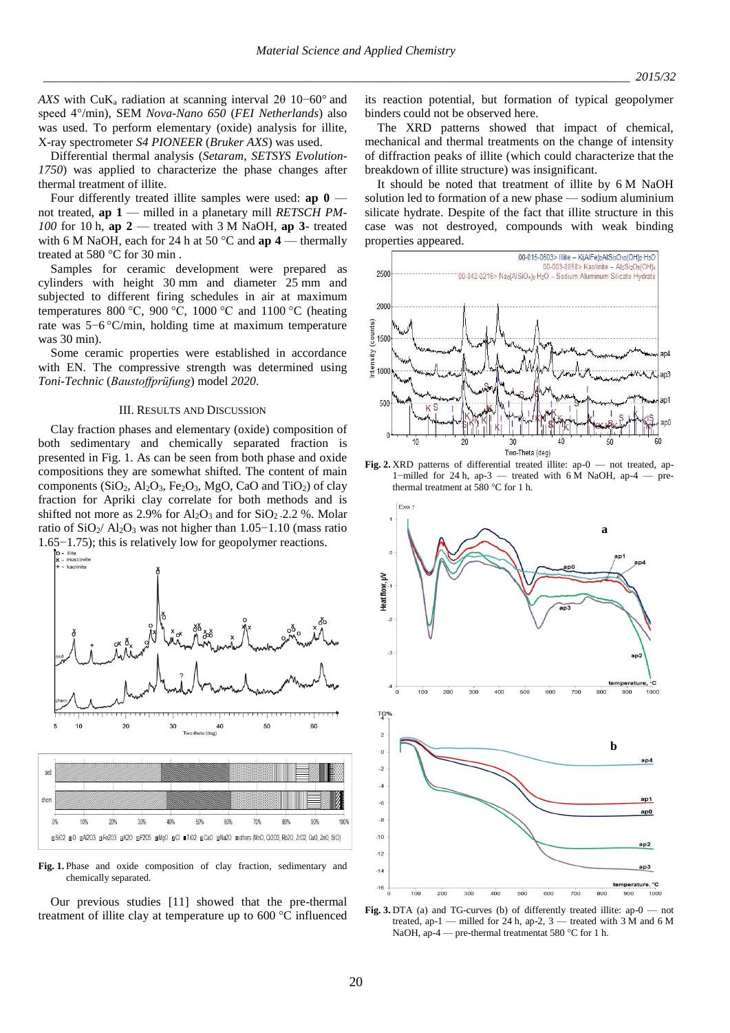*AXS* with CuK<sub>a</sub> radiation at scanning interval 2θ 10−60° and speed 4°/min), SEM *Nova-Nano 650* (*FEI Netherlands*) also was used. To perform elementary (oxide) analysis for illite, X-ray spectrometer *S4 PIONEER* (*Bruker AXS*) was used.

Differential thermal analysis (*Setaram*, *SETSYS Evolution-1750*) was applied to characterize the phase changes after thermal treatment of illite.

Four differently treated illite samples were used: **ap 0** not treated, **ap 1** — milled in a planetary mill *RETSCH PM-100* for 10 h, **ap 2** — treated with 3 M NaOH, **ap 3**- treated with 6 M NaOH, each for 24 h at 50 °C and **ap 4** — thermally treated at 580 °C for 30 min .

Samples for ceramic development were prepared as cylinders with height 30 mm and diameter 25 mm and subjected to different firing schedules in air at maximum temperatures 800 °C, 900 °C, 1000 °C and 1100 °C (heating rate was 5−6 °C/min, holding time at maximum temperature was 30 min).

Some ceramic properties were established in accordance with EN. The compressive strength was determined using *Toni-Technic* (*Baustoffprüfung*) model *2020*.

### III. RESULTS AND DISCUSSION

Clay fraction phases and elementary (oxide) composition of both sedimentary and chemically separated fraction is presented in Fig. 1. As can be seen from both phase and oxide compositions they are somewhat shifted. The content of main components  $(SiO_2, Al_2O_3, Fe_2O_3, MgO, CaO \text{ and } TiO_2)$  of clay fraction for Apriki clay correlate for both methods and is shifted not more as 2.9% for  $Al_2O_3$  and for  $SiO_2$  -2.2 %. Molar ratio of SiO2/ Al2O<sup>3</sup> was not higher than 1.05−1.10 (mass ratio



**Fig. 1.** Phase and oxide composition of clay fraction, sedimentary and chemically separated.

Our previous studies [11] showed that the pre-thermal treatment of illite clay at temperature up to 600 °C influenced its reaction potential, but formation of typical geopolymer binders could not be observed here.

The XRD patterns showed that impact of chemical, mechanical and thermal treatments on the change of intensity of diffraction peaks of illite (which could characterize that the breakdown of illite structure) was insignificant.

It should be noted that treatment of illite by 6 M NaOH solution led to formation of a new phase — sodium aluminium silicate hydrate. Despite of the fact that illite structure in this case was not destroyed, compounds with weak binding properties appeared.







**Fig. 3.** DTA (a) and TG-curves (b) of differently treated illite: ap-0 — not treated, ap-1 — milled for 24 h, ap-2,  $3$  — treated with 3 M and 6 M NaOH, ap-4 — pre-thermal treatmentat 580 °C for 1 h.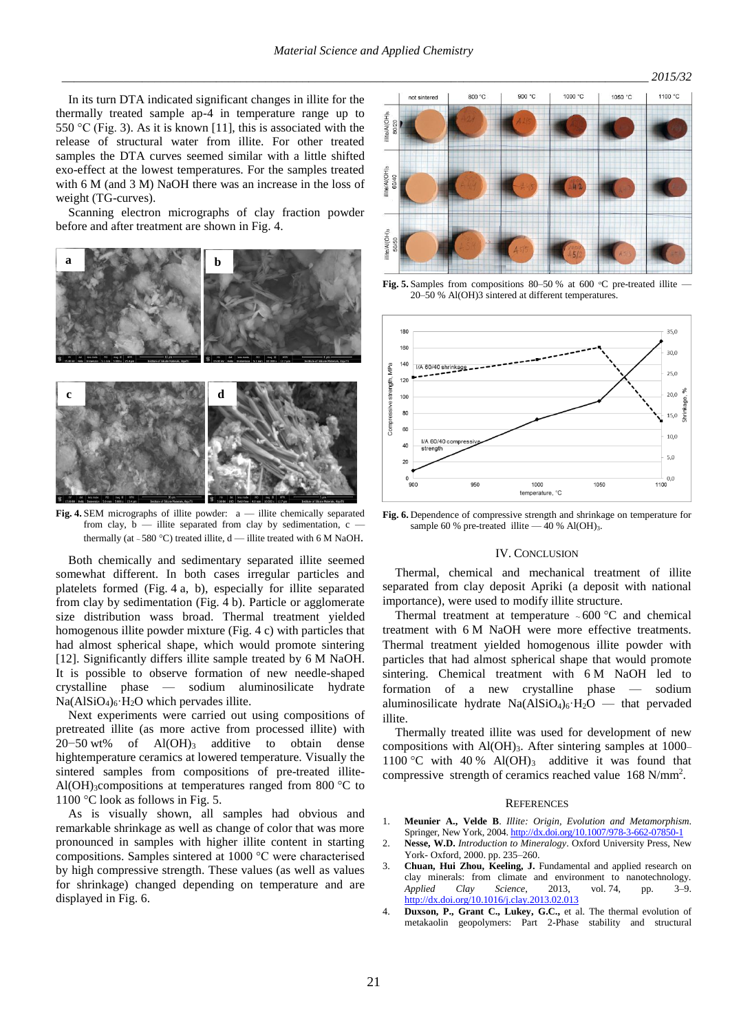In its turn DTA indicated significant changes in illite for the thermally treated sample ap-4 in temperature range up to 550 °C (Fig. 3). As it is known [11], this is associated with the release of structural water from illite. For other treated samples the DTA curves seemed similar with a little shifted exo-effect at the lowest temperatures. For the samples treated with 6 M (and 3 M) NaOH there was an increase in the loss of weight (TG-curves).

Scanning electron micrographs of clay fraction powder before and after treatment are shown in Fig. 4.



**Fig. 4.** SEM micrographs of illite powder: a — illite chemically separated from clay, b — illite separated from clay by sedimentation, c thermally (at ~580 °C) treated illite,  $d$  — illite treated with 6 M NaOH.

Both chemically and sedimentary separated illite seemed somewhat different. In both cases irregular particles and platelets formed (Fig. 4 a, b), especially for illite separated from clay by sedimentation (Fig. 4 b). Particle or agglomerate size distribution wass broad. Thermal treatment yielded homogenous illite powder mixture (Fig. 4 c) with particles that had almost spherical shape, which would promote sintering [12]. Significantly differs illite sample treated by 6 M NaOH. It is possible to observe formation of new needle-shaped crystalline phase — sodium aluminosilicate hydrate  $Na(AlSiO<sub>4</sub>)<sub>6</sub>·H<sub>2</sub>O$  which pervades illite.

Next experiments were carried out using compositions of pretreated illite (as more active from processed illite) with 20−50 wt% of Al(OH)<sub>3</sub> additive to obtain dense hightemperature ceramics at lowered temperature. Visually the sintered samples from compositions of pre-treated illite-Al(OH)<sub>3</sub>compositions at temperatures ranged from 800  $^{\circ}$ C to 1100 °C look as follows in Fig. 5.

As is visually shown, all samples had obvious and remarkable shrinkage as well as change of color that was more pronounced in samples with higher illite content in starting compositions. Samples sintered at 1000 °C were characterised by high compressive strength. These values (as well as values for shrinkage) changed depending on temperature and are displayed in Fig. 6.



**Fig. 5.** Samples from compositions 80–50 % at 600 °C pre-treated illite — 20–50 % Al(OH)3 sintered at different temperatures.



**Fig. 6.** Dependence of compressive strength and shrinkage on temperature for sample 60 % pre-treated illite  $-40$  % Al(OH)<sub>3</sub>.

#### IV. CONCLUSION

Thermal, chemical and mechanical treatment of illite separated from clay deposit Apriki (a deposit with national importance), were used to modify illite structure.

Thermal treatment at temperature  $\sim 600 \degree C$  and chemical treatment with 6 M NaOH were more effective treatments. Thermal treatment yielded homogenous illite powder with particles that had almost spherical shape that would promote sintering. Chemical treatment with 6 M NaOH led to formation of a new crystalline phase — sodium aluminosilicate hydrate  $Na(AlSiO<sub>4</sub>)<sub>6</sub>·H<sub>2</sub>O$  — that pervaded illite.

Thermally treated illite was used for development of new compositions with  $AI(OH)_{3}$ . After sintering samples at 1000– 1100 °C with 40 % Al(OH)<sub>3</sub> additive it was found that compressive strength of ceramics reached value 168 N/mm<sup>2</sup> .

#### **REFERENCES**

- 1. **Meunier A., Velde B**. *Illite: Origin, Evolution and Metamorphism*. Springer, New York, 2004. <http://dx.doi.org/10.1007/978-3-662-07850-1>
- 2. **Nesse, W.D.** *Introduction to Mineralogy*. Oxford University Press, New York- Oxford, 2000. pp. 235–260.
- 3. **Chuan, Hui Zhou, Keeling, J.** Fundamental and applied research on clay minerals: from climate and environment to nanotechnology. *Applied Clay Science*, 2013, vol. 74, pp. 3–9. <http://dx.doi.org/10.1016/j.clay.2013.02.013>
- 4. **Duxson, P., Grant C., Lukey, G.C.,** et al. The thermal evolution of metakaolin geopolymers: Part 2-Phase stability and structural